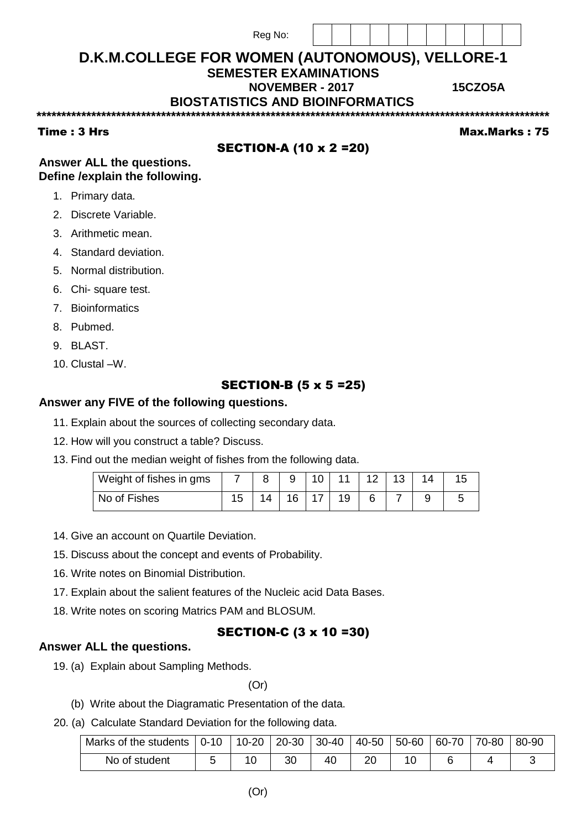|             | Reg No:                                         |  |  |  |  |                |                      |
|-------------|-------------------------------------------------|--|--|--|--|----------------|----------------------|
|             | D.K.M.COLLEGE FOR WOMEN (AUTONOMOUS), VELLORE-1 |  |  |  |  |                |                      |
|             | <b>SEMESTER EXAMINATIONS</b>                    |  |  |  |  |                |                      |
|             | <b>NOVEMBER - 2017</b>                          |  |  |  |  | <b>15CZO5A</b> |                      |
|             | <b>BIOSTATISTICS AND BIOINFORMATICS</b>         |  |  |  |  |                |                      |
|             |                                                 |  |  |  |  |                |                      |
| Time: 3 Hrs |                                                 |  |  |  |  |                | <b>Max.Marks: 75</b> |

# **SECTION-A (10 x 2 = 20)**

Answer ALL the questions. Define / explain the following.

- 1. Primary data.
- 2. Discrete Variable.
- 3. Arithmetic mean.
- 4. Standard deviation.
- 5. Normal distribution.
- 6. Chi-square test.
- 7. Bioinformatics
- 8. Pubmed.
- 9. BLAST.
- 10. Clustal -W.

## **SECTION-B (5 x 5 = 25)**

#### Answer any FIVE of the following questions.

- 11. Explain about the sources of collecting secondary data.
- 12. How will you construct a table? Discuss.
- 13. Find out the median weight of fishes from the following data.

| Weight of fishes in gms |     |    | 10 | 4.4            | 13 |  |
|-------------------------|-----|----|----|----------------|----|--|
| No of Fishes            | 4 E | 16 | 17 | 1 <sub>O</sub> |    |  |

- 14. Give an account on Quartile Deviation.
- 15. Discuss about the concept and events of Probability.
- 16. Write notes on Binomial Distribution.
- 17. Explain about the salient features of the Nucleic acid Data Bases.
- 18. Write notes on scoring Matrics PAM and BLOSUM.

### **SECTION-C (3 x 10 =30)**

#### Answer ALL the questions.

19. (a) Explain about Sampling Methods.

 $(Or)$ 

- (b) Write about the Diagramatic Presentation of the data.
- 20. (a) Calculate Standard Deviation for the following data.

| Marks of the students | $0-10$ | 10-20 | $ 20-30$ | 30-40 | 40-50 | $-50-60$ | $60-70$ | 70-80 | 80-90 |
|-----------------------|--------|-------|----------|-------|-------|----------|---------|-------|-------|
| No of student         |        |       |          | 40    | 20    |          |         |       |       |